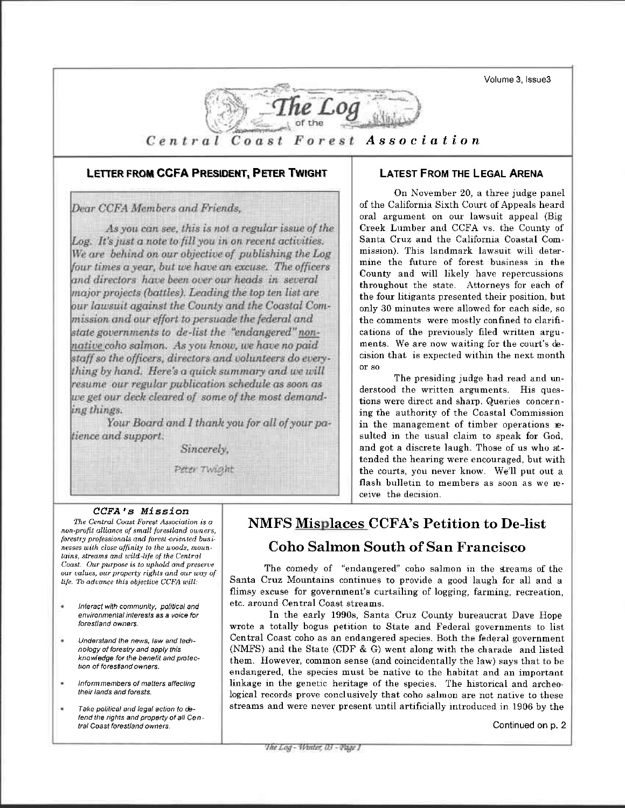Volume 3, Issue3



### LETTER FROM CCFA PRESIDENT, PETER TWIGHT

Dear CCFA Members and Friends,

As you can see, this is not a regular issue of the Log. It's just a note to fill you in on recent activities. We are behind on our objective of publishing the Log four times a year, but we have an excuse. The officers and directors have been over our heads in several major projects (battles). Leading the top ten list are our lawsuit against the County and the Coastal Commission and our effort to persuade the federal and state governments to de-list the "endangered" nonnative coho salmon. As you know, we have no paid staff so the officers, directors and volunteers do everything by hand. Here's a quick summary and we will resume our regular publication schedule as soon as we get our deck cleared of some of the most demanding things.

Your Board and I thank you for all of your patience and support.

Sincerely,

Peter Twight

## **LATEST FROM THE LEGAL ARENA**

On November 20, a three judge panel of the California Sixth Court of Appeals heard oral argument on our lawsuit appeal (Big Creek Lumber and CCFA vs. the County of Santa Cruz and the California Coastal Commission). This landmark lawsuit will determine the future of forest business in the County and will likely have repercussions throughout the state. Attorneys for each of the four litigants presented their position, but only 30 minutes were allowed for each side, so the comments were mostly confined to clarifications of the previously filed written arguments. We are now waiting for the court's decision that is expected within the next month or so

The presiding judge had read and understood the written arguments. His questions were direct and sharp. Queries concerning the authority of the Coastal Commission in the management of timber operations resulted in the usual claim to speak for God, and got a discrete laugh. Those of us who attended the hearing were encouraged, but with the courts, you never know. We'll put out a flash bulletin to members as soon as we receive the decision.

## CCFA's Mission

The Central Coast Forest Association is a non-profit alliance of small forestland owners, forestry professionals and forest-oriented businesses with close affinity to the woods, mountains, streams and wild-life of the Central Coast. Our purpose is to uphold and preserve our values, our property rights and our way of life. To advance this objective CCFA will:

- Interact with community, political and environmental interests as a voice for forestland owners.
- Understand the news, law and technology of forestry and apply this knowledge for the benefit and protection of forestland owners.
- Informmembers of matters affecting their lands and forests.
- Take political and legal action to defend the rights and property of all Central Coast forestland owners.

# **NMFS Misplaces CCFA's Petition to De-list**

## **Coho Salmon South of San Francisco**

The comedy of "endangered" coho salmon in the streams of the Santa Cruz Mountains continues to provide a good laugh for all and a flimsy excuse for government's curtailing of logging, farming, recreation, etc. around Central Coast streams.

In the early 1990s, Santa Cruz County bureaucrat Dave Hope wrote a totally bogus petition to State and Federal governments to list Central Coast coho as an endangered species. Both the federal government (NMFS) and the State (CDF & G) went along with the charade and listed them. However, common sense (and coincidentally the law) says that to be endangered, the species must be native to the habitat and an important linkage in the genetic heritage of the species. The historical and archeological records prove conclusively that coho salmon are not native to these streams and were never present until artificially introduced in 1906 by the

Continued on p. 2